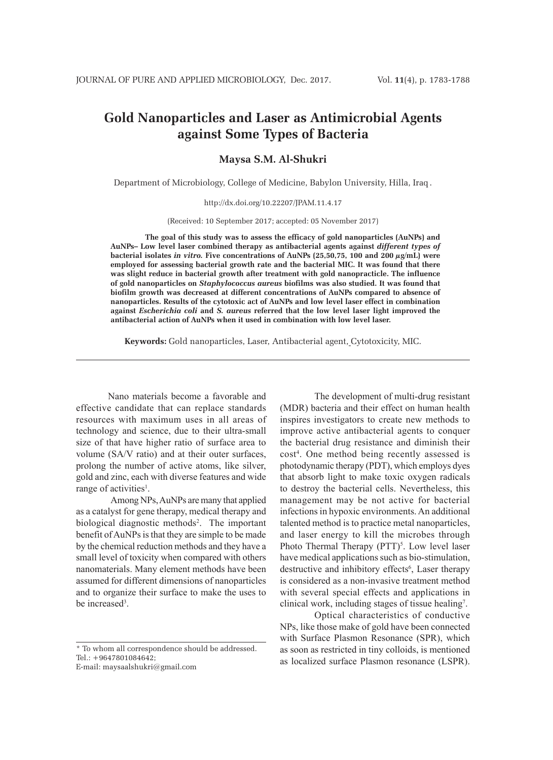# **Gold Nanoparticles and Laser as Antimicrobial Agents against Some Types of Bacteria**

# **Maysa S.M. Al-Shukri**

Department of Microbiology, College of Medicine, Babylon University, Hilla, Iraq .

http://dx.doi.org/10.22207/JPAM.11.4.17

(Received: 10 September 2017; accepted: 05 November 2017)

**The goal of this study was to assess the efficacy of gold nanoparticles (AuNPs) and AuNPs– Low level laser combined therapy as antibacterial agents against** *different types of*  **bacterial isolates** *in vitro.* **Five concentrations of AuNPs (25,50,75, 100 and 200 µg/mL) were employed for assessing bacterial growth rate and the bacterial MIC. It was found that there was slight reduce in bacterial growth after treatment with gold nanopracticle. The influence of gold nanoparticles on** *Staphylococcus aureus* **biofilms was also studied. It was found that biofilm growth was decreased at different concentrations of AuNPs compared to absence of nanoparticles. Results of the cytotoxic act of AuNPs and low level laser effect in combination against** *Escherichia coli* **and** *S. aureus* **referred that the low level laser light improved the antibacterial action of AuNPs when it used in combination with low level laser.**

**Keywords:** Gold nanoparticles, Laser, Antibacterial agent, Cytotoxicity, MIC.

 Nano materials become a favorable and effective candidate that can replace standards resources with maximum uses in all areas of technology and science, due to their ultra-small size of that have higher ratio of surface area to volume (SA/V ratio) and at their outer surfaces, prolong the number of active atoms, like silver, gold and zinc, each with diverse features and wide range of activities<sup>1</sup>.

Among NPs, AuNPs are many that applied as a catalyst for gene therapy, medical therapy and biological diagnostic methods<sup>2</sup>. The important benefit of AuNPs is that they are simple to be made by the chemical reduction methods and they have a small level of toxicity when compared with others nanomaterials. Many element methods have been assumed for different dimensions of nanoparticles and to organize their surface to make the uses to be increased<sup>3</sup>.

\* To whom all correspondence should be addressed. Tel.: +9647801084642;

E-mail: maysaalshukri@gmail.com

The development of multi-drug resistant (MDR) bacteria and their effect on human health inspires investigators to create new methods to improve active antibacterial agents to conquer the bacterial drug resistance and diminish their cost4 . One method being recently assessed is photodynamic therapy (PDT), which employs dyes that absorb light to make toxic oxygen radicals to destroy the bacterial cells. Nevertheless, this management may be not active for bacterial infections in hypoxic environments. An additional talented method is to practice metal nanoparticles, and laser energy to kill the microbes through Photo Thermal Therapy  $(PTT)^5$ . Low level laser have medical applications such as bio-stimulation, destructive and inhibitory effects<sup>6</sup>, Laser therapy is considered as a non-invasive treatment method with several special effects and applications in clinical work, including stages of tissue healing7 .

Optical characteristics of conductive NPs, like those make of gold have been connected with Surface Plasmon Resonance (SPR), which as soon as restricted in tiny colloids, is mentioned as localized surface Plasmon resonance (LSPR).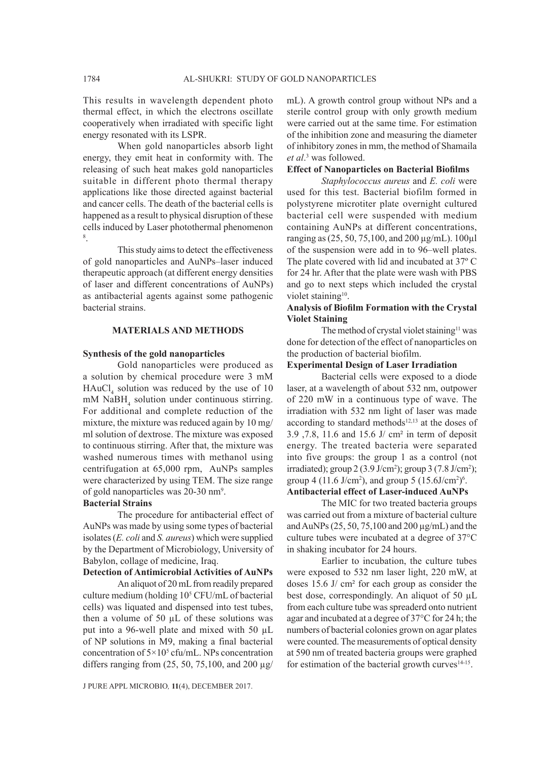This results in wavelength dependent photo thermal effect, in which the electrons oscillate cooperatively when irradiated with specific light energy resonated with its LSPR.

When gold nanoparticles absorb light energy, they emit heat in conformity with. The releasing of such heat makes gold nanoparticles suitable in different photo thermal therapy applications like those directed against bacterial and cancer cells. The death of the bacterial cells is happened as a result to physical disruption of these cells induced by Laser photothermal phenomenon 8 .

This study aims to detect the effectiveness of gold nanoparticles and AuNPs–laser induced therapeutic approach (at different energy densities of laser and different concentrations of AuNPs) as antibacterial agents against some pathogenic bacterial strains.

#### **MATERIALS AND METHODS**

#### **Synthesis of the gold nanoparticles**

Gold nanoparticles were produced as a solution by chemical procedure were 3 mM  $HAuCl<sub>4</sub>$  solution was reduced by the use of 10 mM NaBH<sub>4</sub> solution under continuous stirring. For additional and complete reduction of the mixture, the mixture was reduced again by 10 mg/ ml solution of dextrose. The mixture was exposed to continuous stirring. After that, the mixture was washed numerous times with methanol using centrifugation at 65,000 rpm, AuNPs samples were characterized by using TEM. The size range of gold nanoparticles was 20-30 nm<sup>9</sup>.

#### **Bacterial Strains**

The procedure for antibacterial effect of AuNPs was made by using some types of bacterial isolates (*E. coli* and *S. aureus*) which were supplied by the Department of Microbiology, University of Babylon, collage of medicine, Iraq.

#### **Detection of Antimicrobial Activities of AuNPs**

An aliquot of 20 mL from readily prepared culture medium (holding 105 CFU/mL of bacterial cells) was liquated and dispensed into test tubes, then a volume of 50  $\mu$ L of these solutions was put into a 96-well plate and mixed with 50 µL of NP solutions in M9, making a final bacterial concentration of  $5 \times 10^5$  cfu/mL. NPs concentration differs ranging from  $(25, 50, 75, 100,$  and  $200 \mu$ g/

J PURE APPL MICROBIO*,* **11**(4), DECEMBER 2017.

mL). A growth control group without NPs and a sterile control group with only growth medium were carried out at the same time. For estimation of the inhibition zone and measuring the diameter of inhibitory zones in mm, the method of Shamaila *et al*. 3 was followed.

#### **Effect of Nanoparticles on Bacterial Biofilms**

*Staphylococcus aureus* and *E. coli* were used for this test. Bacterial biofilm formed in polystyrene microtiter plate overnight cultured bacterial cell were suspended with medium containing AuNPs at different concentrations, ranging as (25, 50, 75,100, and 200 µg/mL). 100µl of the suspension were add in to 96–well plates. The plate covered with lid and incubated at 37º C for 24 hr. After that the plate were wash with PBS and go to next steps which included the crystal violet staining<sup>10</sup>.

# **Analysis of Biofilm Formation with the Crystal Violet Staining**

The method of crystal violet staining<sup>11</sup> was done for detection of the effect of nanoparticles on the production of bacterial biofilm.

#### **Experimental Design of Laser Irradiation**

Bacterial cells were exposed to a diode laser, at a wavelength of about 532 nm, outpower of 220 mW in a continuous type of wave. The irradiation with 532 nm light of laser was made according to standard methods<sup>12,13</sup> at the doses of 3.9 ,7.8, 11.6 and 15.6 J/ cm² in term of deposit energy. The treated bacteria were separated into five groups: the group 1 as a control (not irradiated); group  $2(3.9 \text{ J/cm}^2)$ ; group  $3(7.8 \text{ J/cm}^2)$ ; group 4 (11.6 J/cm<sup>2</sup>), and group 5 (15.6J/cm<sup>2</sup>)<sup>6</sup>.

# **Antibacterial effect of Laser-induced AuNPs**

The MIC for two treated bacteria groups was carried out from a mixture of bacterial culture and AuNPs (25, 50, 75,100 and 200 µg/mL) and the culture tubes were incubated at a degree of 37°C in shaking incubator for 24 hours.

Earlier to incubation, the culture tubes were exposed to 532 nm laser light, 220 mW, at doses 15.6 J/ cm² for each group as consider the best dose, correspondingly. An aliquot of 50 µL from each culture tube was spreaderd onto nutrient agar and incubated at a degree of 37°C for 24 h; the numbers of bacterial colonies grown on agar plates were counted. The measurements of optical density at 590 nm of treated bacteria groups were graphed for estimation of the bacterial growth curves $14-15$ .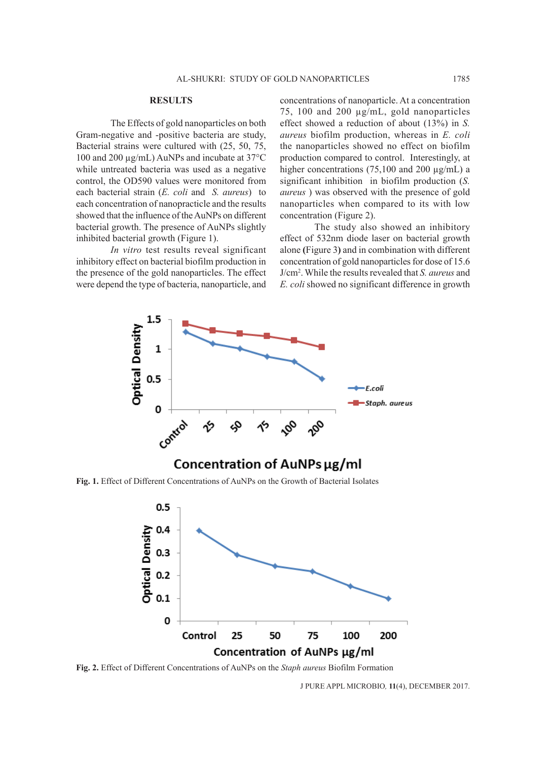#### **RESULTS**

The Effects of gold nanoparticles on both Gram-negative and -positive bacteria are study, Bacterial strains were cultured with (25, 50, 75, 100 and 200 µg/mL) AuNPs and incubate at 37°C while untreated bacteria was used as a negative control, the OD590 values were monitored from each bacterial strain (*E. coli* and *S. aureus*) to each concentration of nanopracticle and the results showed that the influence of the AuNPs on different bacterial growth. The presence of AuNPs slightly inhibited bacterial growth (Figure 1).

*In vitro* test results reveal significant inhibitory effect on bacterial biofilm production in the presence of the gold nanoparticles. The effect were depend the type of bacteria, nanoparticle, and concentrations of nanoparticle. At a concentration 75, 100 and 200 µg/mL, gold nanoparticles effect showed a reduction of about (13%) in *S. aureus* biofilm production, whereas in *E. coli* the nanoparticles showed no effect on biofilm production compared to control. Interestingly, at higher concentrations (75,100 and 200 µg/mL) a significant inhibition in biofilm production (*S. aureus* ) was observed with the presence of gold nanoparticles when compared to its with low concentration (Figure 2).

The study also showed an inhibitory effect of 532nm diode laser on bacterial growth alone **(**Figure 3**)** and in combination with different concentration of gold nanoparticles for dose of 15.6 J/cm2 . While the results revealed that *S. aureus* and *E. coli* showed no significant difference in growth



**Fig. 1.** Effect of Different Concentrations of AuNPs on the Growth of Bacterial Isolates



**Fig. 2.** Effect of Different Concentrations of AuNPs on the *Staph aureus* Biofilm Formation

J PURE APPL MICROBIO*,* **11**(4), DECEMBER 2017.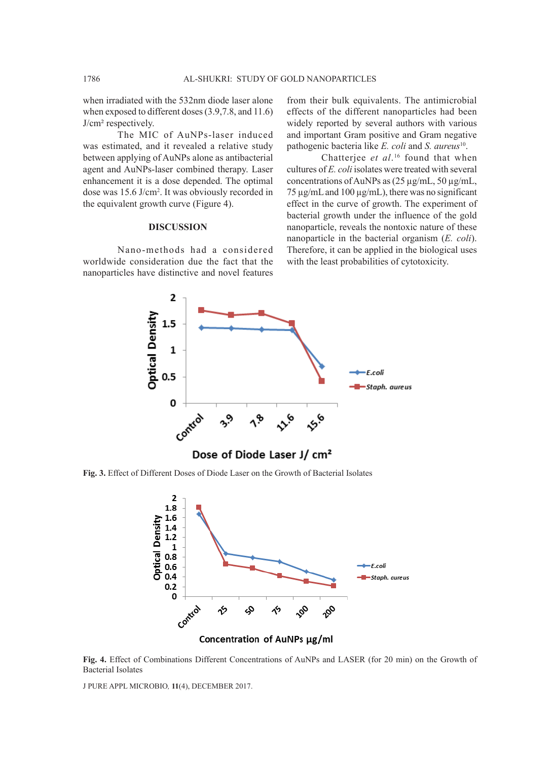when irradiated with the 532nm diode laser alone when exposed to different doses (3.9,7.8, and 11.6) J/cm² respectively.

The MIC of AuNPs-laser induced was estimated, and it revealed a relative study between applying of AuNPs alone as antibacterial agent and AuNPs-laser combined therapy. Laser enhancement it is a dose depended. The optimal dose was 15.6 J/cm2 . It was obviously recorded in the equivalent growth curve (Figure 4).

### **DISCUSSION**

Nano-methods had a considered worldwide consideration due the fact that the nanoparticles have distinctive and novel features

from their bulk equivalents. The antimicrobial effects of the different nanoparticles had been widely reported by several authors with various and important Gram positive and Gram negative pathogenic bacteria like *E. coli* and *S. aureus*<sup>10</sup>.

Chatterjee *et al*. 16 found that when cultures of *E. coli* isolates were treated with several concentrations of AuNPs as (25 µg/mL, 50 µg/mL, 75 µg/mL and 100 µg/mL), there was no significant effect in the curve of growth. The experiment of bacterial growth under the influence of the gold nanoparticle, reveals the nontoxic nature of these nanoparticle in the bacterial organism (*E. coli*). Therefore, it can be applied in the biological uses with the least probabilities of cytotoxicity.



**Fig. 3.** Effect of Different Doses of Diode Laser on the Growth of Bacterial Isolates



**Fig. 4.** Effect of Combinations Different Concentrations of AuNPs and LASER (for 20 min) on the Growth of Bacterial Isolates

J PURE APPL MICROBIO*,* **11**(4), DECEMBER 2017.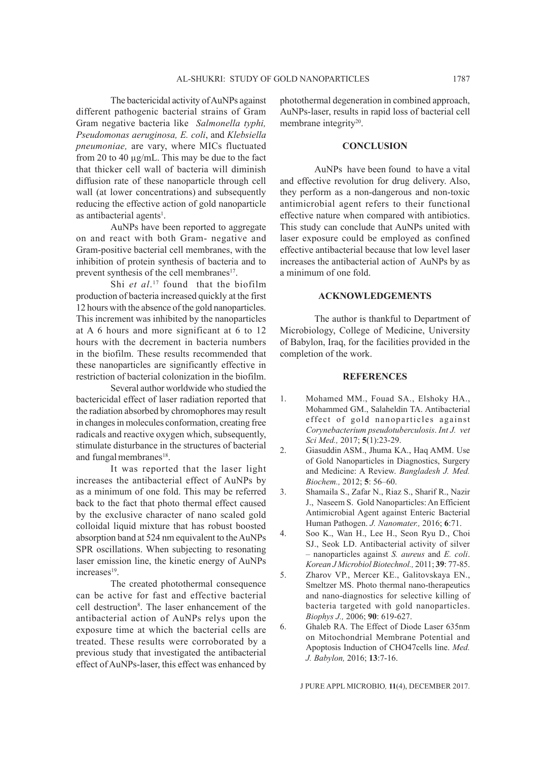The bactericidal activity of AuNPs against different pathogenic bacterial strains of Gram Gram negative bacteria like *Salmonella typhi, Pseudomonas aeruginosa, E. coli*, and *Klebsiella pneumoniae,* are vary, where MICs fluctuated from 20 to 40 µg/mL. This may be due to the fact that thicker cell wall of bacteria will diminish diffusion rate of these nanoparticle through cell wall (at lower concentrations) and subsequently reducing the effective action of gold nanoparticle as antibacterial agents<sup>1</sup>.

AuNPs have been reported to aggregate on and react with both Gram- negative and Gram-positive bacterial cell membranes, with the inhibition of protein synthesis of bacteria and to prevent synthesis of the cell membranes<sup>17</sup>.

Shi *et al*. 17 found that the biofilm production of bacteria increased quickly at the first 12 hours with the absence of the gold nanoparticles. This increment was inhibited by the nanoparticles at A 6 hours and more significant at 6 to 12 hours with the decrement in bacteria numbers in the biofilm. These results recommended that these nanoparticles are significantly effective in restriction of bacterial colonization in the biofilm.

Several author worldwide who studied the bactericidal effect of laser radiation reported that the radiation absorbed by chromophores may result in changes in molecules conformation, creating free radicals and reactive oxygen which, subsequently, stimulate disturbance in the structures of bacterial and fungal membranes<sup>18</sup>.

It was reported that the laser light increases the antibacterial effect of AuNPs by as a minimum of one fold. This may be referred back to the fact that photo thermal effect caused by the exclusive character of nano scaled gold colloidal liquid mixture that has robust boosted absorption band at 524 nm equivalent to the AuNPs SPR oscillations. When subjecting to resonating laser emission line, the kinetic energy of AuNPs increases<sup>19</sup>.

The created photothermal consequence can be active for fast and effective bacterial cell destruction<sup>8</sup>. The laser enhancement of the antibacterial action of AuNPs relys upon the exposure time at which the bacterial cells are treated. These results were corroborated by a previous study that investigated the antibacterial effect of AuNPs-laser, this effect was enhanced by

photothermal degeneration in combined approach, AuNPs-laser, results in rapid loss of bacterial cell membrane integrity<sup>20</sup>.

#### **CONCLUSION**

AuNPs have been found to have a vital and effective revolution for drug delivery. Also, they perform as a non-dangerous and non-toxic antimicrobial agent refers to their functional effective nature when compared with antibiotics. This study can conclude that AuNPs united with laser exposure could be employed as confined effective antibacterial because that low level laser increases the antibacterial action of AuNPs by as a minimum of one fold.

# **ACKNOWLEDGEMENTS**

The author is thankful to Department of Microbiology, College of Medicine, University of Babylon, Iraq, for the facilities provided in the completion of the work.

#### **REFERENCES**

- 1. Mohamed MM., Fouad SA., Elshoky HA., Mohammed GM., Salaheldin TA. Antibacterial effect of gold nanoparticles against *Corynebacterium pseudotuberculosis*. *Int J. vet Sci Med.,* 2017; **5**(1):23-29.
- 2. Giasuddin ASM., Jhuma KA., Haq AMM. Use of Gold Nanoparticles in Diagnostics, Surgery and Medicine: A Review. *Bangladesh J. Med. Biochem.,* 2012; **5**: 56–60.
- 3. Shamaila S., Zafar N., Riaz S., Sharif R., Nazir J., Naseem S. Gold Nanoparticles: An Efficient Antimicrobial Agent against Enteric Bacterial Human Pathogen. *J. Nanomater.,* 2016; **6**:71.
- 4. Soo K., Wan H., Lee H., Seon Ryu D., Choi SJ., Seok LD. Antibacterial activity of silver – nanoparticles against *S. aureus* and *E. coli*. *Korean J Microbiol Biotechnol.,* 2011; **39**: 77-85.
- 5. Zharov VP., Mercer KE., Galitovskaya EN., Smeltzer MS. Photo thermal nano-therapeutics and nano-diagnostics for selective killing of bacteria targeted with gold nanoparticles. *Biophys J.,* 2006; **90**: 619-627.
- 6. Ghaleb RA. The Effect of Diode Laser 635nm on Mitochondrial Membrane Potential and Apoptosis Induction of CHO47cells line. *Med. J. Babylon,* 2016; **13**:7-16.

J PURE APPL MICROBIO*,* **11**(4), DECEMBER 2017.